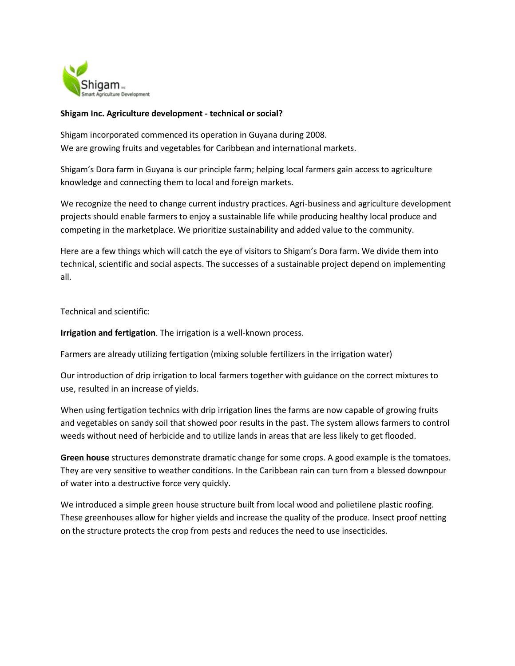

## **Shigam Inc. Agriculture development - technical or social?**

Shigam incorporated commenced its operation in Guyana during 2008. We are growing fruits and vegetables for Caribbean and international markets.

Shigam's Dora farm in Guyana is our principle farm; helping local farmers gain access to agriculture knowledge and connecting them to local and foreign markets.

We recognize the need to change current industry practices. Agri-business and agriculture development projects should enable farmers to enjoy a sustainable life while producing healthy local produce and competing in the marketplace. We prioritize sustainability and added value to the community.

Here are a few things which will catch the eye of visitors to Shigam's Dora farm. We divide them into technical, scientific and social aspects. The successes of a sustainable project depend on implementing all.

Technical and scientific:

**Irrigation and fertigation**. The irrigation is a well-known process.

Farmers are already utilizing fertigation (mixing soluble fertilizers in the irrigation water)

Our introduction of drip irrigation to local farmers together with guidance on the correct mixtures to use, resulted in an increase of yields.

When using fertigation technics with drip irrigation lines the farms are now capable of growing fruits and vegetables on sandy soil that showed poor results in the past. The system allows farmers to control weeds without need of herbicide and to utilize lands in areas that are less likely to get flooded.

**Green house** structures demonstrate dramatic change for some crops. A good example is the tomatoes. They are very sensitive to weather conditions. In the Caribbean rain can turn from a blessed downpour of water into a destructive force very quickly.

We introduced a simple green house structure built from local wood and polietilene plastic roofing. These greenhouses allow for higher yields and increase the quality of the produce. Insect proof netting on the structure protects the crop from pests and reduces the need to use insecticides.